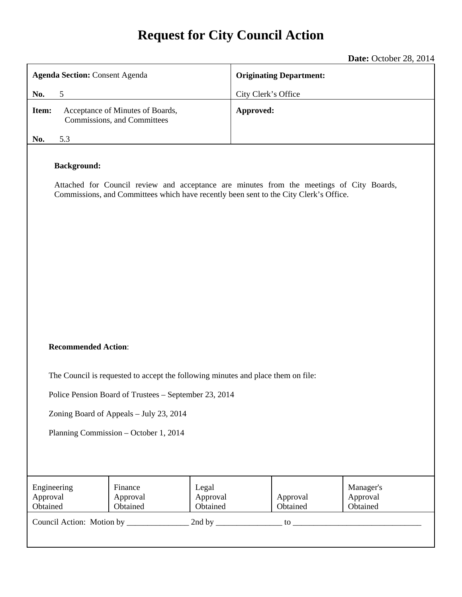# **Request for City Council Action**

**Date:** October 28, 2014

|                                                                                                                                                                                                                               |                                                                 |                               |                                | $P^{\mu\nu}$ . Sensor 20, 201                                                   |  |
|-------------------------------------------------------------------------------------------------------------------------------------------------------------------------------------------------------------------------------|-----------------------------------------------------------------|-------------------------------|--------------------------------|---------------------------------------------------------------------------------|--|
| <b>Agenda Section: Consent Agenda</b>                                                                                                                                                                                         |                                                                 |                               | <b>Originating Department:</b> |                                                                                 |  |
| 5<br>No.                                                                                                                                                                                                                      |                                                                 |                               | City Clerk's Office            |                                                                                 |  |
| Item:                                                                                                                                                                                                                         | Acceptance of Minutes of Boards,<br>Commissions, and Committees |                               | Approved:                      |                                                                                 |  |
| 5.3<br>No.                                                                                                                                                                                                                    |                                                                 |                               |                                |                                                                                 |  |
| <b>Background:</b><br>Attached for Council review and acceptance are minutes from the meetings of City Boards,<br>Commissions, and Committees which have recently been sent to the City Clerk's Office.                       |                                                                 |                               |                                |                                                                                 |  |
| <b>Recommended Action:</b>                                                                                                                                                                                                    |                                                                 |                               |                                |                                                                                 |  |
| The Council is requested to accept the following minutes and place them on file:<br>Police Pension Board of Trustees – September 23, 2014<br>Zoning Board of Appeals - July 23, 2014<br>Planning Commission - October 1, 2014 |                                                                 |                               |                                |                                                                                 |  |
| Engineering<br>Approval<br>Obtained                                                                                                                                                                                           | Finance<br>Approval<br>Obtained                                 | Legal<br>Approval<br>Obtained | Approval<br>Obtained           | Manager's<br>Approval<br>Obtained<br>$\mathfrak{g}$ to $\overline{\phantom{a}}$ |  |
|                                                                                                                                                                                                                               |                                                                 |                               |                                |                                                                                 |  |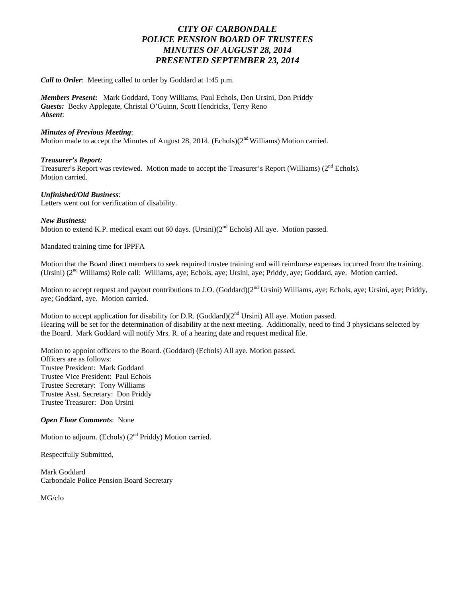# *CITY OF CARBONDALE POLICE PENSION BOARD OF TRUSTEES MINUTES OF AUGUST 28, 2014 PRESENTED SEPTEMBER 23, 2014*

*Call to Order*: Meeting called to order by Goddard at 1:45 p.m.

*Members Present***:** Mark Goddard, Tony Williams, Paul Echols, Don Ursini, Don Priddy *Guests:* Becky Applegate, Christal O'Guinn, Scott Hendricks, Terry Reno *Absent*:

#### *Minutes of Previous Meeting*:

Motion made to accept the Minutes of August 28, 2014. (Echols) $(2<sup>nd</sup> Williams)$  Motion carried.

#### *Treasurer's Report:*

Treasurer's Report was reviewed. Motion made to accept the Treasurer's Report (Williams) (2<sup>nd</sup> Echols). Motion carried.

#### *Unfinished/Old Business*:

Letters went out for verification of disability.

#### *New Business:*

Motion to extend K.P. medical exam out 60 days. (Ursini) $(2<sup>nd</sup>$  Echols) All aye. Motion passed.

Mandated training time for IPPFA

Motion that the Board direct members to seek required trustee training and will reimburse expenses incurred from the training. (Ursini) (2nd Williams) Role call: Williams, aye; Echols, aye; Ursini, aye; Priddy, aye; Goddard, aye. Motion carried.

Motion to accept request and payout contributions to J.O. (Goddard)(2<sup>nd</sup> Ursini) Williams, aye; Echols, aye; Ursini, aye; Priddy, aye; Goddard, aye. Motion carried.

Motion to accept application for disability for D.R. (Goddard) $(2<sup>nd</sup> Ursini)$  All aye. Motion passed. Hearing will be set for the determination of disability at the next meeting. Additionally, need to find 3 physicians selected by the Board. Mark Goddard will notify Mrs. R. of a hearing date and request medical file.

Motion to appoint officers to the Board. (Goddard) (Echols) All aye. Motion passed. Officers are as follows: Trustee President: Mark Goddard Trustee Vice President: Paul Echols Trustee Secretary: Tony Williams Trustee Asst. Secretary: Don Priddy Trustee Treasurer: Don Ursini

#### *Open Floor Comments*: None

Motion to adjourn. (Echols)  $(2<sup>nd</sup> Priddy)$  Motion carried.

Respectfully Submitted,

Mark Goddard Carbondale Police Pension Board Secretary

MG/clo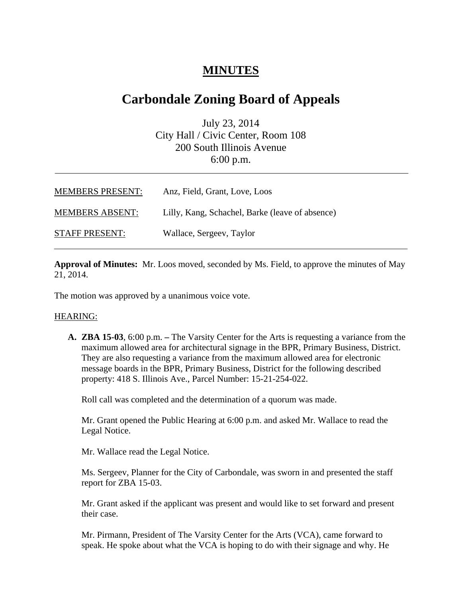# **MINUTES**

# **Carbondale Zoning Board of Appeals**

July 23, 2014 City Hall / Civic Center, Room 108 200 South Illinois Avenue 6:00 p.m.

| <b>MEMBERS PRESENT:</b> | Anz, Field, Grant, Love, Loos                   |
|-------------------------|-------------------------------------------------|
| <b>MEMBERS ABSENT:</b>  | Lilly, Kang, Schachel, Barke (leave of absence) |
| <b>STAFF PRESENT:</b>   | Wallace, Sergeev, Taylor                        |

**Approval of Minutes:** Mr. Loos moved, seconded by Ms. Field, to approve the minutes of May 21, 2014.

The motion was approved by a unanimous voice vote.

#### HEARING:

**A. ZBA 15-03**, 6:00 p.m. **–** The Varsity Center for the Arts is requesting a variance from the maximum allowed area for architectural signage in the BPR, Primary Business, District. They are also requesting a variance from the maximum allowed area for electronic message boards in the BPR, Primary Business, District for the following described property: 418 S. Illinois Ave., Parcel Number: 15-21-254-022.

Roll call was completed and the determination of a quorum was made.

Mr. Grant opened the Public Hearing at 6:00 p.m. and asked Mr. Wallace to read the Legal Notice.

Mr. Wallace read the Legal Notice.

Ms. Sergeev, Planner for the City of Carbondale, was sworn in and presented the staff report for ZBA 15-03.

Mr. Grant asked if the applicant was present and would like to set forward and present their case.

Mr. Pirmann, President of The Varsity Center for the Arts (VCA), came forward to speak. He spoke about what the VCA is hoping to do with their signage and why. He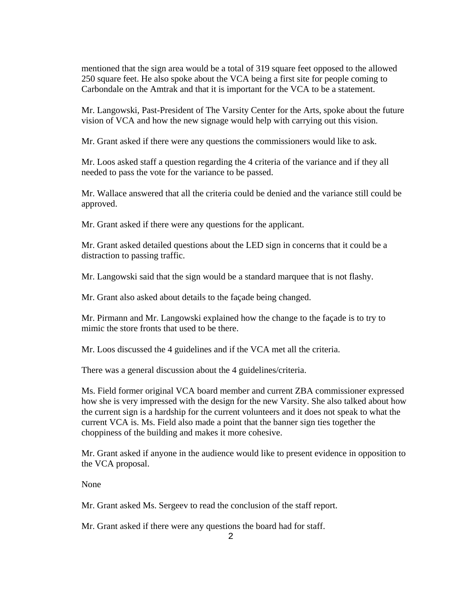mentioned that the sign area would be a total of 319 square feet opposed to the allowed 250 square feet. He also spoke about the VCA being a first site for people coming to Carbondale on the Amtrak and that it is important for the VCA to be a statement.

Mr. Langowski, Past-President of The Varsity Center for the Arts, spoke about the future vision of VCA and how the new signage would help with carrying out this vision.

Mr. Grant asked if there were any questions the commissioners would like to ask.

Mr. Loos asked staff a question regarding the 4 criteria of the variance and if they all needed to pass the vote for the variance to be passed.

Mr. Wallace answered that all the criteria could be denied and the variance still could be approved.

Mr. Grant asked if there were any questions for the applicant.

Mr. Grant asked detailed questions about the LED sign in concerns that it could be a distraction to passing traffic.

Mr. Langowski said that the sign would be a standard marquee that is not flashy.

Mr. Grant also asked about details to the façade being changed.

Mr. Pirmann and Mr. Langowski explained how the change to the façade is to try to mimic the store fronts that used to be there.

Mr. Loos discussed the 4 guidelines and if the VCA met all the criteria.

There was a general discussion about the 4 guidelines/criteria.

Ms. Field former original VCA board member and current ZBA commissioner expressed how she is very impressed with the design for the new Varsity. She also talked about how the current sign is a hardship for the current volunteers and it does not speak to what the current VCA is. Ms. Field also made a point that the banner sign ties together the choppiness of the building and makes it more cohesive.

Mr. Grant asked if anyone in the audience would like to present evidence in opposition to the VCA proposal.

None

Mr. Grant asked Ms. Sergeev to read the conclusion of the staff report.

Mr. Grant asked if there were any questions the board had for staff.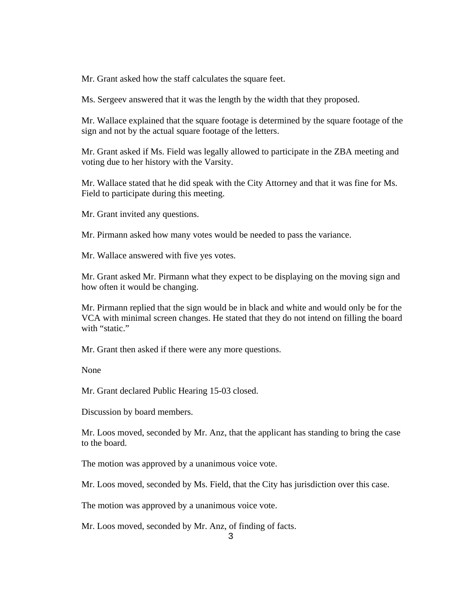Mr. Grant asked how the staff calculates the square feet.

Ms. Sergeev answered that it was the length by the width that they proposed.

Mr. Wallace explained that the square footage is determined by the square footage of the sign and not by the actual square footage of the letters.

Mr. Grant asked if Ms. Field was legally allowed to participate in the ZBA meeting and voting due to her history with the Varsity.

Mr. Wallace stated that he did speak with the City Attorney and that it was fine for Ms. Field to participate during this meeting.

Mr. Grant invited any questions.

Mr. Pirmann asked how many votes would be needed to pass the variance.

Mr. Wallace answered with five yes votes.

Mr. Grant asked Mr. Pirmann what they expect to be displaying on the moving sign and how often it would be changing.

Mr. Pirmann replied that the sign would be in black and white and would only be for the VCA with minimal screen changes. He stated that they do not intend on filling the board with "static."

Mr. Grant then asked if there were any more questions.

None

Mr. Grant declared Public Hearing 15-03 closed.

Discussion by board members.

Mr. Loos moved, seconded by Mr. Anz, that the applicant has standing to bring the case to the board.

The motion was approved by a unanimous voice vote.

Mr. Loos moved, seconded by Ms. Field, that the City has jurisdiction over this case.

The motion was approved by a unanimous voice vote.

Mr. Loos moved, seconded by Mr. Anz, of finding of facts.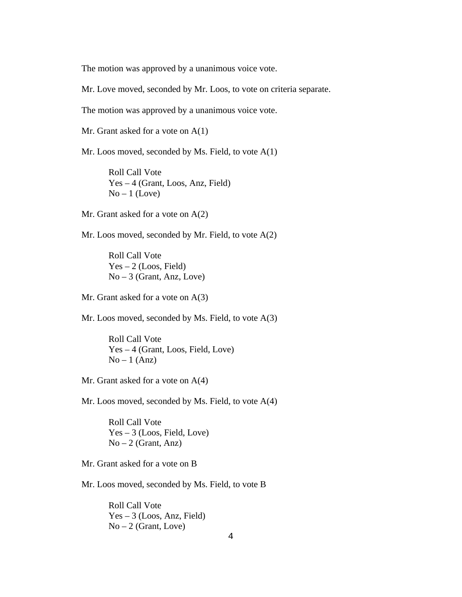The motion was approved by a unanimous voice vote.

Mr. Love moved, seconded by Mr. Loos, to vote on criteria separate.

The motion was approved by a unanimous voice vote.

Mr. Grant asked for a vote on A(1)

Mr. Loos moved, seconded by Ms. Field, to vote A(1)

 Roll Call Vote Yes – 4 (Grant, Loos, Anz, Field)  $No-1$  (Love)

Mr. Grant asked for a vote on A(2)

Mr. Loos moved, seconded by Mr. Field, to vote A(2)

 Roll Call Vote  $Yes - 2 (Loos, Field)$  $No - 3$  (Grant, Anz, Love)

Mr. Grant asked for a vote on A(3)

Mr. Loos moved, seconded by Ms. Field, to vote A(3)

 Roll Call Vote Yes – 4 (Grant, Loos, Field, Love)  $No-1 (Anz)$ 

Mr. Grant asked for a vote on A(4)

Mr. Loos moved, seconded by Ms. Field, to vote A(4)

 Roll Call Vote  $Yes - 3 (Loos, Field, Love)$  $No-2$  (Grant, Anz)

Mr. Grant asked for a vote on B

Mr. Loos moved, seconded by Ms. Field, to vote B

 Roll Call Vote Yes – 3 (Loos, Anz, Field)  $No-2$  (Grant, Love)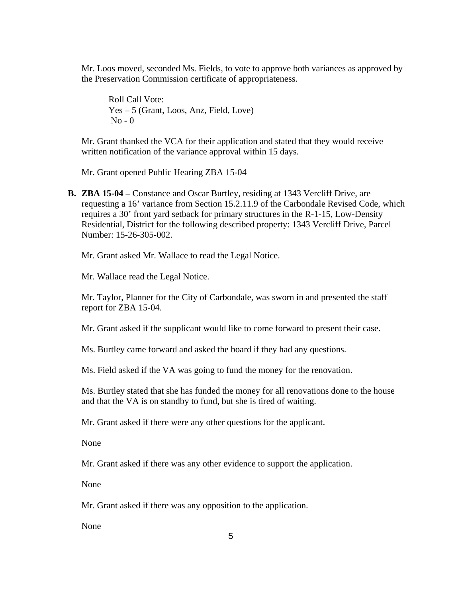Mr. Loos moved, seconded Ms. Fields, to vote to approve both variances as approved by the Preservation Commission certificate of appropriateness.

Roll Call Vote: Yes – 5 (Grant, Loos, Anz, Field, Love)  $No - 0$ 

Mr. Grant thanked the VCA for their application and stated that they would receive written notification of the variance approval within 15 days.

Mr. Grant opened Public Hearing ZBA 15-04

**B. ZBA 15-04 –** Constance and Oscar Burtley, residing at 1343 Vercliff Drive, are requesting a 16' variance from Section 15.2.11.9 of the Carbondale Revised Code, which requires a 30' front yard setback for primary structures in the R-1-15, Low-Density Residential, District for the following described property: 1343 Vercliff Drive, Parcel Number: 15-26-305-002.

Mr. Grant asked Mr. Wallace to read the Legal Notice.

Mr. Wallace read the Legal Notice.

Mr. Taylor, Planner for the City of Carbondale, was sworn in and presented the staff report for ZBA 15-04.

Mr. Grant asked if the supplicant would like to come forward to present their case.

Ms. Burtley came forward and asked the board if they had any questions.

Ms. Field asked if the VA was going to fund the money for the renovation.

Ms. Burtley stated that she has funded the money for all renovations done to the house and that the VA is on standby to fund, but she is tired of waiting.

Mr. Grant asked if there were any other questions for the applicant.

None

Mr. Grant asked if there was any other evidence to support the application.

None

Mr. Grant asked if there was any opposition to the application.

None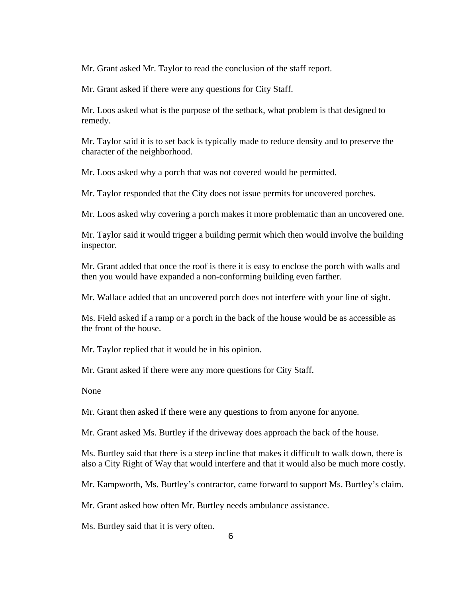Mr. Grant asked Mr. Taylor to read the conclusion of the staff report.

Mr. Grant asked if there were any questions for City Staff.

Mr. Loos asked what is the purpose of the setback, what problem is that designed to remedy.

Mr. Taylor said it is to set back is typically made to reduce density and to preserve the character of the neighborhood.

Mr. Loos asked why a porch that was not covered would be permitted.

Mr. Taylor responded that the City does not issue permits for uncovered porches.

Mr. Loos asked why covering a porch makes it more problematic than an uncovered one.

Mr. Taylor said it would trigger a building permit which then would involve the building inspector.

Mr. Grant added that once the roof is there it is easy to enclose the porch with walls and then you would have expanded a non-conforming building even farther.

Mr. Wallace added that an uncovered porch does not interfere with your line of sight.

Ms. Field asked if a ramp or a porch in the back of the house would be as accessible as the front of the house.

Mr. Taylor replied that it would be in his opinion.

Mr. Grant asked if there were any more questions for City Staff.

None

Mr. Grant then asked if there were any questions to from anyone for anyone.

Mr. Grant asked Ms. Burtley if the driveway does approach the back of the house.

Ms. Burtley said that there is a steep incline that makes it difficult to walk down, there is also a City Right of Way that would interfere and that it would also be much more costly.

Mr. Kampworth, Ms. Burtley's contractor, came forward to support Ms. Burtley's claim.

Mr. Grant asked how often Mr. Burtley needs ambulance assistance.

Ms. Burtley said that it is very often.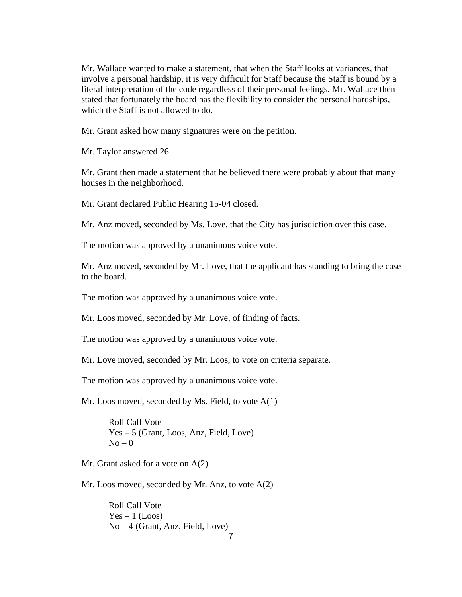Mr. Wallace wanted to make a statement, that when the Staff looks at variances, that involve a personal hardship, it is very difficult for Staff because the Staff is bound by a literal interpretation of the code regardless of their personal feelings. Mr. Wallace then stated that fortunately the board has the flexibility to consider the personal hardships, which the Staff is not allowed to do.

Mr. Grant asked how many signatures were on the petition.

Mr. Taylor answered 26.

Mr. Grant then made a statement that he believed there were probably about that many houses in the neighborhood.

Mr. Grant declared Public Hearing 15-04 closed.

Mr. Anz moved, seconded by Ms. Love, that the City has jurisdiction over this case.

The motion was approved by a unanimous voice vote.

Mr. Anz moved, seconded by Mr. Love, that the applicant has standing to bring the case to the board.

The motion was approved by a unanimous voice vote.

Mr. Loos moved, seconded by Mr. Love, of finding of facts.

The motion was approved by a unanimous voice vote.

Mr. Love moved, seconded by Mr. Loos, to vote on criteria separate.

The motion was approved by a unanimous voice vote.

Mr. Loos moved, seconded by Ms. Field, to vote A(1)

 Roll Call Vote Yes – 5 (Grant, Loos, Anz, Field, Love)  $No - 0$ 

Mr. Grant asked for a vote on A(2)

Mr. Loos moved, seconded by Mr. Anz, to vote A(2)

 Roll Call Vote  $Yes - 1 (Loos)$ No – 4 (Grant, Anz, Field, Love)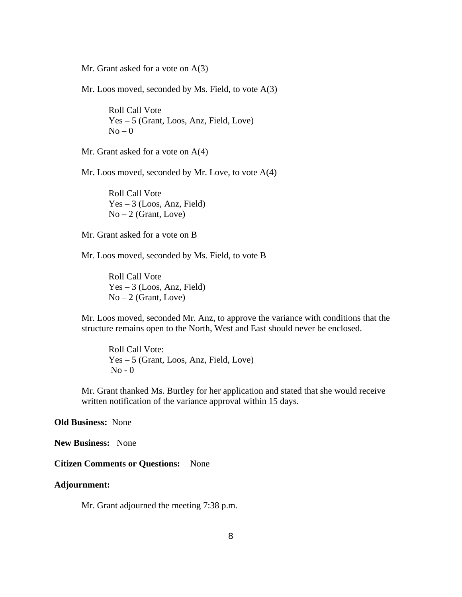Mr. Grant asked for a vote on A(3)

Mr. Loos moved, seconded by Ms. Field, to vote A(3)

 Roll Call Vote Yes – 5 (Grant, Loos, Anz, Field, Love)  $No - 0$ 

Mr. Grant asked for a vote on  $A(4)$ 

Mr. Loos moved, seconded by Mr. Love, to vote A(4)

 Roll Call Vote Yes – 3 (Loos, Anz, Field)  $No-2$  (Grant, Love)

Mr. Grant asked for a vote on B

Mr. Loos moved, seconded by Ms. Field, to vote B

 Roll Call Vote Yes – 3 (Loos, Anz, Field)  $No-2$  (Grant, Love)

Mr. Loos moved, seconded Mr. Anz, to approve the variance with conditions that the structure remains open to the North, West and East should never be enclosed.

Roll Call Vote: Yes – 5 (Grant, Loos, Anz, Field, Love) No - 0

Mr. Grant thanked Ms. Burtley for her application and stated that she would receive written notification of the variance approval within 15 days.

#### **Old Business:** None

**New Business:** None

#### **Citizen Comments or Questions:** None

#### **Adjournment:**

Mr. Grant adjourned the meeting 7:38 p.m.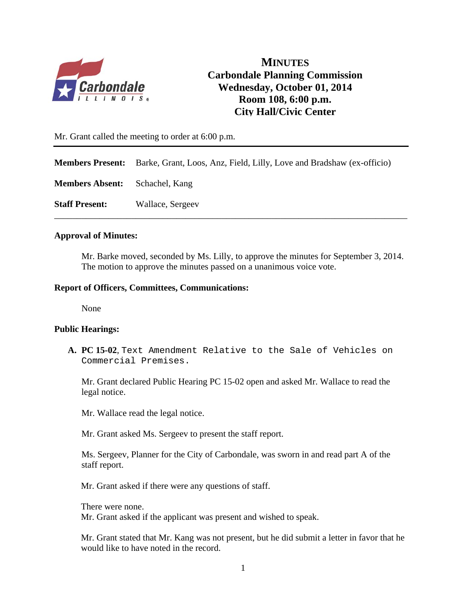

**MINUTES Carbondale Planning Commission Wednesday, October 01, 2014 Room 108, 6:00 p.m. City Hall/Civic Center** 

Mr. Grant called the meeting to order at 6:00 p.m.

**Members Present:** Barke, Grant, Loos, Anz, Field, Lilly, Love and Bradshaw (ex-officio)

\_\_\_\_\_\_\_\_\_\_\_\_\_\_\_\_\_\_\_\_\_\_\_\_\_\_\_\_\_\_\_\_\_\_\_\_\_\_\_\_\_\_\_\_\_\_\_\_\_\_\_\_\_\_\_\_\_\_\_\_\_\_\_\_\_\_\_\_\_\_\_\_\_\_\_\_\_\_

**Members Absent:** Schachel, Kang

**Staff Present:** Wallace, Sergeev

#### **Approval of Minutes:**

Mr. Barke moved, seconded by Ms. Lilly, to approve the minutes for September 3, 2014. The motion to approve the minutes passed on a unanimous voice vote.

#### **Report of Officers, Committees, Communications:**

None

#### **Public Hearings:**

**A. PC 15-02**, Text Amendment Relative to the Sale of Vehicles on Commercial Premises.

Mr. Grant declared Public Hearing PC 15-02 open and asked Mr. Wallace to read the legal notice.

Mr. Wallace read the legal notice.

Mr. Grant asked Ms. Sergeev to present the staff report.

 Ms. Sergeev, Planner for the City of Carbondale, was sworn in and read part A of the staff report.

Mr. Grant asked if there were any questions of staff.

There were none.

Mr. Grant asked if the applicant was present and wished to speak.

Mr. Grant stated that Mr. Kang was not present, but he did submit a letter in favor that he would like to have noted in the record.